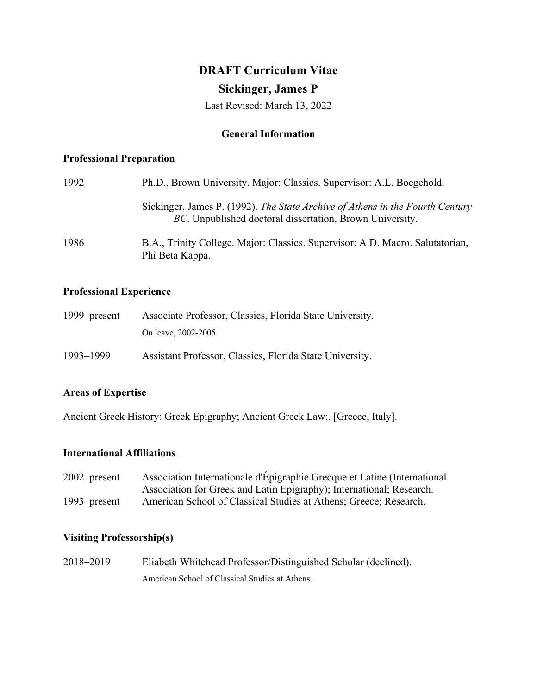# **DRAFT Curriculum Vitae Sickinger, James P**

Last Revised: March 13, 2022

# **General Information**

## **Professional Preparation**

| 1992 | Ph.D., Brown University. Major: Classics. Supervisor: A.L. Boegehold.                                                                     |  |
|------|-------------------------------------------------------------------------------------------------------------------------------------------|--|
|      | Sickinger, James P. (1992). The State Archive of Athens in the Fourth Century<br>BC. Unpublished doctoral dissertation, Brown University. |  |
| 1986 | B.A., Trinity College. Major: Classics. Supervisor: A.D. Macro. Salutatorian,<br>Phi Beta Kappa.                                          |  |

## **Professional Experience**

| $1999$ -present | Associate Professor, Classics, Florida State University. |
|-----------------|----------------------------------------------------------|
|                 | On leave, 2002-2005.                                     |
| 1993-1999       | Assistant Professor, Classics, Florida State University. |

## **Areas of Expertise**

Ancient Greek History; Greek Epigraphy; Ancient Greek Law;. [Greece, Italy].

## **International Affiliations**

2002–present Association Internationale d'Épigraphie Grecque et Latine (International Association for Greek and Latin Epigraphy); International; Research. 1993–present American School of Classical Studies at Athens; Greece; Research.

# **Visiting Professorship(s)**

2018–2019 Eliabeth Whitehead Professor/Distinguished Scholar (declined). American School of Classical Studies at Athens.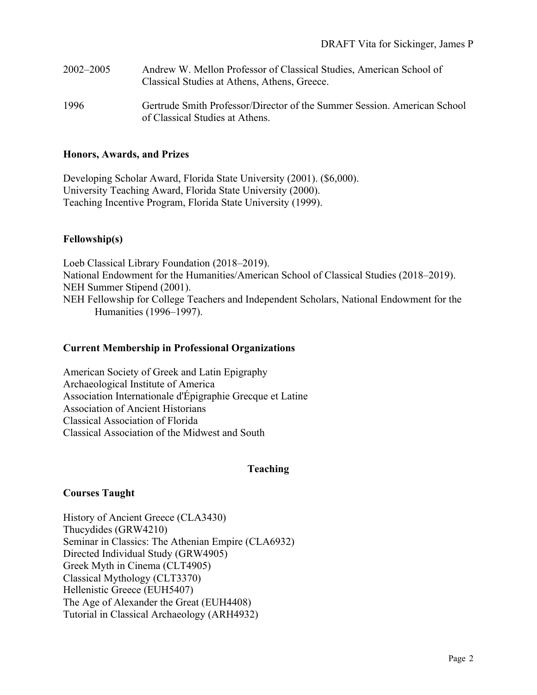| 2002–2005 | Andrew W. Mellon Professor of Classical Studies, American School of<br>Classical Studies at Athens, Athens, Greece. |
|-----------|---------------------------------------------------------------------------------------------------------------------|
| 1996      | Gertrude Smith Professor/Director of the Summer Session. American School<br>of Classical Studies at Athens          |

## **Honors, Awards, and Prizes**

Developing Scholar Award, Florida State University (2001). (\$6,000). University Teaching Award, Florida State University (2000). Teaching Incentive Program, Florida State University (1999).

## **Fellowship(s)**

Loeb Classical Library Foundation (2018–2019). National Endowment for the Humanities/American School of Classical Studies (2018–2019). NEH Summer Stipend (2001). NEH Fellowship for College Teachers and Independent Scholars, National Endowment for the Humanities (1996–1997).

#### **Current Membership in Professional Organizations**

American Society of Greek and Latin Epigraphy Archaeological Institute of America Association Internationale d'Épigraphie Grecque et Latine Association of Ancient Historians Classical Association of Florida Classical Association of the Midwest and South

#### **Teaching**

## **Courses Taught**

History of Ancient Greece (CLA3430) Thucydides (GRW4210) Seminar in Classics: The Athenian Empire (CLA6932) Directed Individual Study (GRW4905) Greek Myth in Cinema (CLT4905) Classical Mythology (CLT3370) Hellenistic Greece (EUH5407) The Age of Alexander the Great (EUH4408) Tutorial in Classical Archaeology (ARH4932)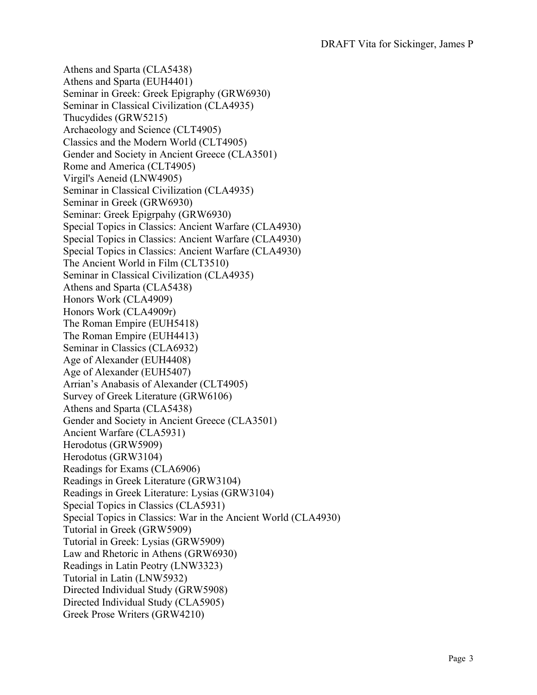Athens and Sparta (CLA5438) Athens and Sparta (EUH4401) Seminar in Greek: Greek Epigraphy (GRW6930) Seminar in Classical Civilization (CLA4935) Thucydides (GRW5215) Archaeology and Science (CLT4905) Classics and the Modern World (CLT4905) Gender and Society in Ancient Greece (CLA3501) Rome and America (CLT4905) Virgil's Aeneid (LNW4905) Seminar in Classical Civilization (CLA4935) Seminar in Greek (GRW6930) Seminar: Greek Epigrpahy (GRW6930) Special Topics in Classics: Ancient Warfare (CLA4930) Special Topics in Classics: Ancient Warfare (CLA4930) Special Topics in Classics: Ancient Warfare (CLA4930) The Ancient World in Film (CLT3510) Seminar in Classical Civilization (CLA4935) Athens and Sparta (CLA5438) Honors Work (CLA4909) Honors Work (CLA4909r) The Roman Empire (EUH5418) The Roman Empire (EUH4413) Seminar in Classics (CLA6932) Age of Alexander (EUH4408) Age of Alexander (EUH5407) Arrian's Anabasis of Alexander (CLT4905) Survey of Greek Literature (GRW6106) Athens and Sparta (CLA5438) Gender and Society in Ancient Greece (CLA3501) Ancient Warfare (CLA5931) Herodotus (GRW5909) Herodotus (GRW3104) Readings for Exams (CLA6906) Readings in Greek Literature (GRW3104) Readings in Greek Literature: Lysias (GRW3104) Special Topics in Classics (CLA5931) Special Topics in Classics: War in the Ancient World (CLA4930) Tutorial in Greek (GRW5909) Tutorial in Greek: Lysias (GRW5909) Law and Rhetoric in Athens (GRW6930) Readings in Latin Peotry (LNW3323) Tutorial in Latin (LNW5932) Directed Individual Study (GRW5908) Directed Individual Study (CLA5905) Greek Prose Writers (GRW4210)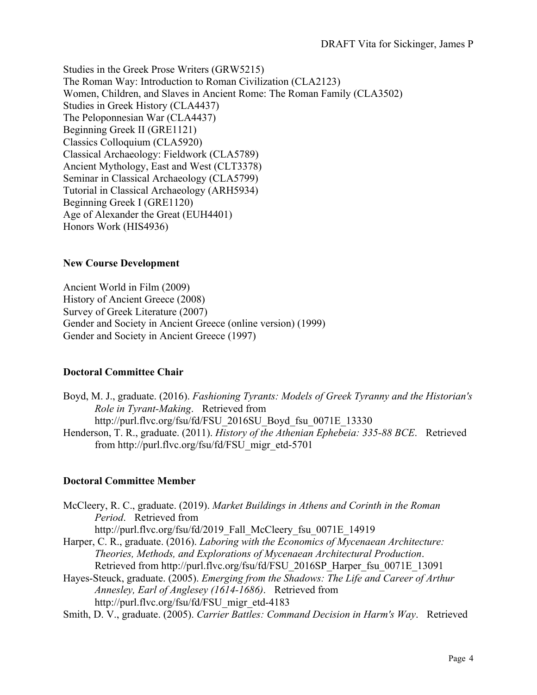Studies in the Greek Prose Writers (GRW5215) The Roman Way: Introduction to Roman Civilization (CLA2123) Women, Children, and Slaves in Ancient Rome: The Roman Family (CLA3502) Studies in Greek History (CLA4437) The Peloponnesian War (CLA4437) Beginning Greek II (GRE1121) Classics Colloquium (CLA5920) Classical Archaeology: Fieldwork (CLA5789) Ancient Mythology, East and West (CLT3378) Seminar in Classical Archaeology (CLA5799) Tutorial in Classical Archaeology (ARH5934) Beginning Greek I (GRE1120) Age of Alexander the Great (EUH4401) Honors Work (HIS4936)

## **New Course Development**

Ancient World in Film (2009) History of Ancient Greece (2008) Survey of Greek Literature (2007) Gender and Society in Ancient Greece (online version) (1999) Gender and Society in Ancient Greece (1997)

## **Doctoral Committee Chair**

Boyd, M. J., graduate. (2016). *Fashioning Tyrants: Models of Greek Tyranny and the Historian's Role in Tyrant-Making*. Retrieved from http://purl.flvc.org/fsu/fd/FSU\_2016SU\_Boyd\_fsu\_0071E\_13330 Henderson, T. R., graduate. (2011). *History of the Athenian Ephebeia: 335-88 BCE*. Retrieved from http://purl.flvc.org/fsu/fd/FSU\_migr\_etd-5701

## **Doctoral Committee Member**

| McCleery, R. C., graduate. (2019). Market Buildings in Athens and Corinth in the Roman   |
|------------------------------------------------------------------------------------------|
| Period. Retrieved from                                                                   |
| http://purl.flvc.org/fsu/fd/2019 Fall McCleery fsu 0071E 14919                           |
| Harper, C. R., graduate. (2016). Laboring with the Economics of Mycenaean Architecture:  |
| Theories, Methods, and Explorations of Mycenaean Architectural Production.               |
| Retrieved from http://purl.flvc.org/fsu/fd/FSU 2016SP Harper fsu 0071E 13091             |
| Hayes-Steuck, graduate. (2005). Emerging from the Shadows: The Life and Career of Arthur |
| Annesley, Earl of Anglesey (1614-1686). Retrieved from                                   |
| http://purl.flvc.org/fsu/fd/FSU migr etd-4183                                            |

Smith, D. V., graduate. (2005). *Carrier Battles: Command Decision in Harm's Way*. Retrieved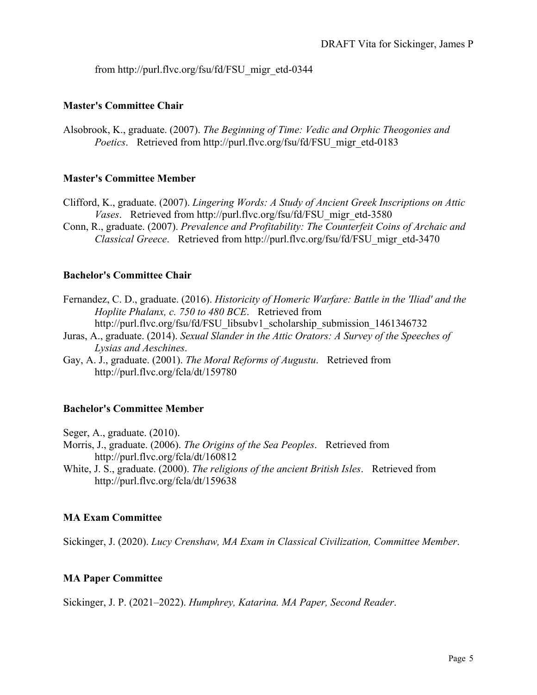from http://purl.flvc.org/fsu/fd/FSU\_migr\_etd-0344

# **Master's Committee Chair**

Alsobrook, K., graduate. (2007). *The Beginning of Time: Vedic and Orphic Theogonies and Poetics*. Retrieved from http://purl.flvc.org/fsu/fd/FSU\_migr\_etd-0183

# **Master's Committee Member**

- Clifford, K., graduate. (2007). *Lingering Words: A Study of Ancient Greek Inscriptions on Attic Vases*. Retrieved from http://purl.flvc.org/fsu/fd/FSU\_migr\_etd-3580
- Conn, R., graduate. (2007). *Prevalence and Profitability: The Counterfeit Coins of Archaic and Classical Greece*. Retrieved from http://purl.flvc.org/fsu/fd/FSU\_migr\_etd-3470

# **Bachelor's Committee Chair**

- Fernandez, C. D., graduate. (2016). *Historicity of Homeric Warfare: Battle in the 'Iliad' and the Hoplite Phalanx, c. 750 to 480 BCE*. Retrieved from http://purl.flvc.org/fsu/fd/FSU\_libsubv1\_scholarship\_submission\_1461346732
- Juras, A., graduate. (2014). *Sexual Slander in the Attic Orators: A Survey of the Speeches of Lysias and Aeschines*.
- Gay, A. J., graduate. (2001). *The Moral Reforms of Augustu*. Retrieved from http://purl.flvc.org/fcla/dt/159780

# **Bachelor's Committee Member**

Seger, A., graduate. (2010).

- Morris, J., graduate. (2006). *The Origins of the Sea Peoples*. Retrieved from http://purl.flvc.org/fcla/dt/160812
- White, J. S., graduate. (2000). *The religions of the ancient British Isles*. Retrieved from http://purl.flvc.org/fcla/dt/159638

## **MA Exam Committee**

Sickinger, J. (2020). *Lucy Crenshaw, MA Exam in Classical Civilization, Committee Member*.

## **MA Paper Committee**

Sickinger, J. P. (2021–2022). *Humphrey, Katarina. MA Paper, Second Reader*.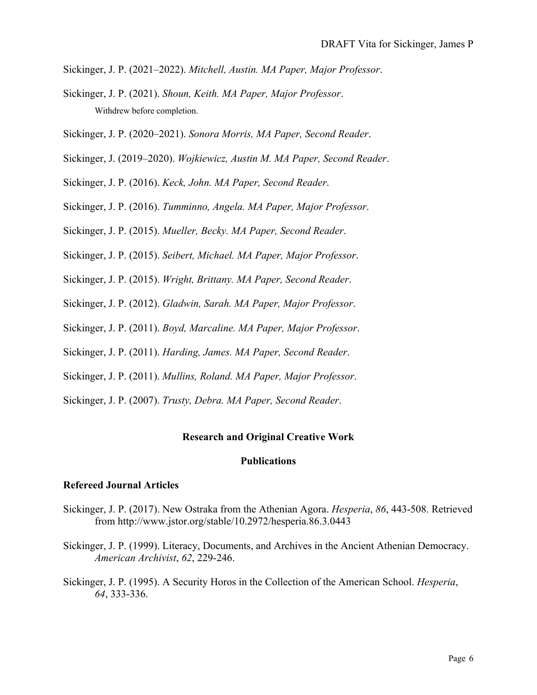- Sickinger, J. P. (2021–2022). *Mitchell, Austin. MA Paper, Major Professor*.
- Sickinger, J. P. (2021). *Shoun, Keith. MA Paper, Major Professor*. Withdrew before completion.
- Sickinger, J. P. (2020–2021). *Sonora Morris, MA Paper, Second Reader*.
- Sickinger, J. (2019–2020). *Wojkiewicz, Austin M. MA Paper, Second Reader*.
- Sickinger, J. P. (2016). *Keck, John. MA Paper, Second Reader*.
- Sickinger, J. P. (2016). *Tumminno, Angela. MA Paper, Major Professor*.
- Sickinger, J. P. (2015). *Mueller, Becky. MA Paper, Second Reader*.
- Sickinger, J. P. (2015). *Seibert, Michael. MA Paper, Major Professor*.
- Sickinger, J. P. (2015). *Wright, Brittany. MA Paper, Second Reader*.
- Sickinger, J. P. (2012). *Gladwin, Sarah. MA Paper, Major Professor*.
- Sickinger, J. P. (2011). *Boyd, Marcaline. MA Paper, Major Professor*.
- Sickinger, J. P. (2011). *Harding, James. MA Paper, Second Reader*.
- Sickinger, J. P. (2011). *Mullins, Roland. MA Paper, Major Professor*.
- Sickinger, J. P. (2007). *Trusty, Debra. MA Paper, Second Reader*.

#### **Research and Original Creative Work**

## **Publications**

#### **Refereed Journal Articles**

- Sickinger, J. P. (2017). New Ostraka from the Athenian Agora. *Hesperia*, *86*, 443-508. Retrieved from http://www.jstor.org/stable/10.2972/hesperia.86.3.0443
- Sickinger, J. P. (1999). Literacy, Documents, and Archives in the Ancient Athenian Democracy. *American Archivist*, *62*, 229-246.
- Sickinger, J. P. (1995). A Security Horos in the Collection of the American School. *Hesperia*, *64*, 333-336.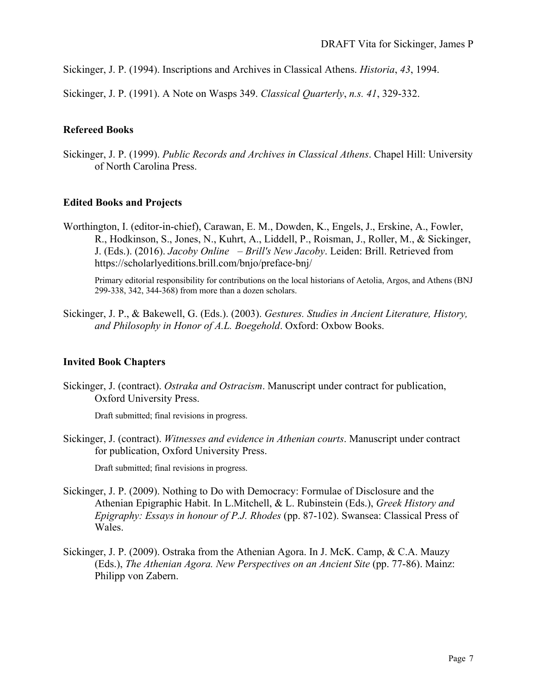Sickinger, J. P. (1994). Inscriptions and Archives in Classical Athens. *Historia*, *43*, 1994.

Sickinger, J. P. (1991). A Note on Wasps 349. *Classical Quarterly*, *n.s. 41*, 329-332.

## **Refereed Books**

Sickinger, J. P. (1999). *Public Records and Archives in Classical Athens*. Chapel Hill: University of North Carolina Press.

## **Edited Books and Projects**

Worthington, I. (editor-in-chief), Carawan, E. M., Dowden, K., Engels, J., Erskine, A., Fowler, R., Hodkinson, S., Jones, N., Kuhrt, A., Liddell, P., Roisman, J., Roller, M., & Sickinger, J. (Eds.). (2016). *Jacoby Online – Brill's New Jacoby*. Leiden: Brill. Retrieved from https://scholarlyeditions.brill.com/bnjo/preface-bnj/

Primary editorial responsibility for contributions on the local historians of Aetolia, Argos, and Athens (BNJ 299-338, 342, 344-368) from more than a dozen scholars.

Sickinger, J. P., & Bakewell, G. (Eds.). (2003). *Gestures. Studies in Ancient Literature, History, and Philosophy in Honor of A.L. Boegehold*. Oxford: Oxbow Books.

#### **Invited Book Chapters**

Sickinger, J. (contract). *Ostraka and Ostracism*. Manuscript under contract for publication, Oxford University Press.

Draft submitted; final revisions in progress.

Sickinger, J. (contract). *Witnesses and evidence in Athenian courts*. Manuscript under contract for publication, Oxford University Press.

Draft submitted; final revisions in progress.

- Sickinger, J. P. (2009). Nothing to Do with Democracy: Formulae of Disclosure and the Athenian Epigraphic Habit. In L.Mitchell, & L. Rubinstein (Eds.), *Greek History and Epigraphy: Essays in honour of P.J. Rhodes* (pp. 87-102). Swansea: Classical Press of Wales.
- Sickinger, J. P. (2009). Ostraka from the Athenian Agora. In J. McK. Camp, & C.A. Mauzy (Eds.), *The Athenian Agora. New Perspectives on an Ancient Site* (pp. 77-86). Mainz: Philipp von Zabern.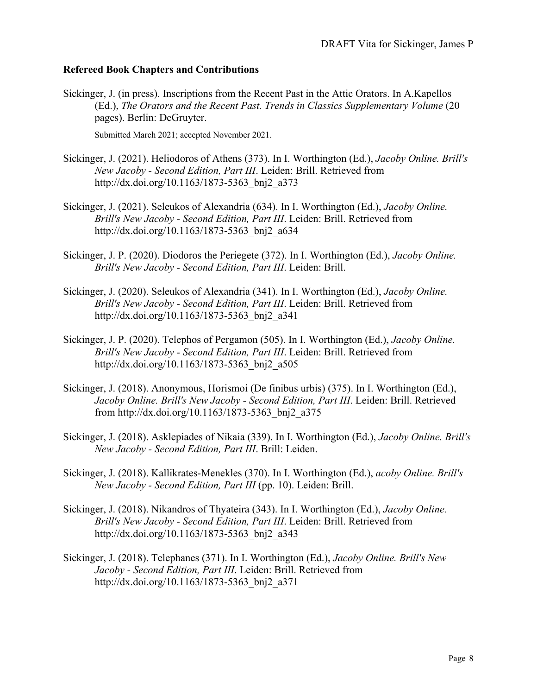# **Refereed Book Chapters and Contributions**

Sickinger, J. (in press). Inscriptions from the Recent Past in the Attic Orators. In A.Kapellos (Ed.), *The Orators and the Recent Past. Trends in Classics Supplementary Volume* (20 pages). Berlin: DeGruyter.

Submitted March 2021; accepted November 2021.

- Sickinger, J. (2021). Heliodoros of Athens (373). In I. Worthington (Ed.), *Jacoby Online. Brill's New Jacoby - Second Edition, Part III*. Leiden: Brill. Retrieved from http://dx.doi.org/10.1163/1873-5363\_bnj2\_a373
- Sickinger, J. (2021). Seleukos of Alexandria (634). In I. Worthington (Ed.), *Jacoby Online. Brill's New Jacoby - Second Edition, Part III*. Leiden: Brill. Retrieved from http://dx.doi.org/10.1163/1873-5363\_bnj2\_a634
- Sickinger, J. P. (2020). Diodoros the Periegete (372). In I. Worthington (Ed.), *Jacoby Online. Brill's New Jacoby - Second Edition, Part III*. Leiden: Brill.
- Sickinger, J. (2020). Seleukos of Alexandria (341). In I. Worthington (Ed.), *Jacoby Online. Brill's New Jacoby - Second Edition, Part III*. Leiden: Brill. Retrieved from http://dx.doi.org/10.1163/1873-5363\_bnj2\_a341
- Sickinger, J. P. (2020). Telephos of Pergamon (505). In I. Worthington (Ed.), *Jacoby Online. Brill's New Jacoby - Second Edition, Part III*. Leiden: Brill. Retrieved from http://dx.doi.org/10.1163/1873-5363\_bnj2\_a505
- Sickinger, J. (2018). Anonymous, Horismoi (De finibus urbis) (375). In I. Worthington (Ed.), *Jacoby Online. Brill's New Jacoby - Second Edition, Part III*. Leiden: Brill. Retrieved from http://dx.doi.org/10.1163/1873-5363\_bnj2\_a375
- Sickinger, J. (2018). Asklepiades of Nikaia (339). In I. Worthington (Ed.), *Jacoby Online. Brill's New Jacoby - Second Edition, Part III*. Brill: Leiden.
- Sickinger, J. (2018). Kallikrates-Menekles (370). In I. Worthington (Ed.), *acoby Online. Brill's New Jacoby - Second Edition, Part III* (pp. 10). Leiden: Brill.
- Sickinger, J. (2018). Nikandros of Thyateira (343). In I. Worthington (Ed.), *Jacoby Online. Brill's New Jacoby - Second Edition, Part III*. Leiden: Brill. Retrieved from http://dx.doi.org/10.1163/1873-5363\_bnj2\_a343
- Sickinger, J. (2018). Telephanes (371). In I. Worthington (Ed.), *Jacoby Online. Brill's New Jacoby - Second Edition, Part III*. Leiden: Brill. Retrieved from http://dx.doi.org/10.1163/1873-5363\_bnj2\_a371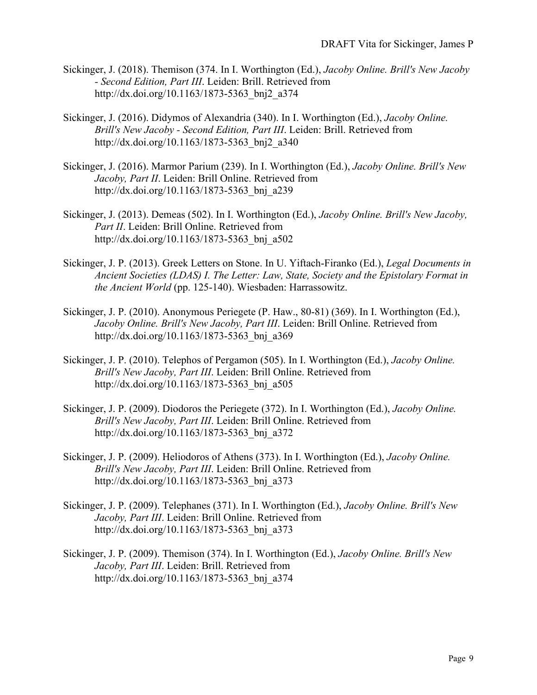- Sickinger, J. (2018). Themison (374. In I. Worthington (Ed.), *Jacoby Online. Brill's New Jacoby - Second Edition, Part III*. Leiden: Brill. Retrieved from http://dx.doi.org/10.1163/1873-5363\_bnj2\_a374
- Sickinger, J. (2016). Didymos of Alexandria (340). In I. Worthington (Ed.), *Jacoby Online. Brill's New Jacoby - Second Edition, Part III*. Leiden: Brill. Retrieved from http://dx.doi.org/10.1163/1873-5363\_bnj2\_a340
- Sickinger, J. (2016). Marmor Parium (239). In I. Worthington (Ed.), *Jacoby Online. Brill's New Jacoby, Part II*. Leiden: Brill Online. Retrieved from http://dx.doi.org/10.1163/1873-5363\_bnj\_a239
- Sickinger, J. (2013). Demeas (502). In I. Worthington (Ed.), *Jacoby Online. Brill's New Jacoby, Part II*. Leiden: Brill Online. Retrieved from http://dx.doi.org/10.1163/1873-5363\_bnj\_a502
- Sickinger, J. P. (2013). Greek Letters on Stone. In U. Yiftach-Firanko (Ed.), *Legal Documents in Ancient Societies (LDAS) I. The Letter: Law, State, Society and the Epistolary Format in the Ancient World* (pp. 125-140). Wiesbaden: Harrassowitz.
- Sickinger, J. P. (2010). Anonymous Periegete (P. Haw., 80-81) (369). In I. Worthington (Ed.), *Jacoby Online. Brill's New Jacoby, Part III*. Leiden: Brill Online. Retrieved from http://dx.doi.org/10.1163/1873-5363\_bnj\_a369
- Sickinger, J. P. (2010). Telephos of Pergamon (505). In I. Worthington (Ed.), *Jacoby Online. Brill's New Jacoby, Part III*. Leiden: Brill Online. Retrieved from http://dx.doi.org/10.1163/1873-5363\_bnj\_a505
- Sickinger, J. P. (2009). Diodoros the Periegete (372). In I. Worthington (Ed.), *Jacoby Online. Brill's New Jacoby, Part III*. Leiden: Brill Online. Retrieved from http://dx.doi.org/10.1163/1873-5363\_bnj\_a372
- Sickinger, J. P. (2009). Heliodoros of Athens (373). In I. Worthington (Ed.), *Jacoby Online. Brill's New Jacoby, Part III*. Leiden: Brill Online. Retrieved from http://dx.doi.org/10.1163/1873-5363\_bnj\_a373
- Sickinger, J. P. (2009). Telephanes (371). In I. Worthington (Ed.), *Jacoby Online. Brill's New Jacoby, Part III*. Leiden: Brill Online. Retrieved from http://dx.doi.org/10.1163/1873-5363\_bnj\_a373
- Sickinger, J. P. (2009). Themison (374). In I. Worthington (Ed.), *Jacoby Online. Brill's New Jacoby, Part III*. Leiden: Brill. Retrieved from http://dx.doi.org/10.1163/1873-5363\_bnj\_a374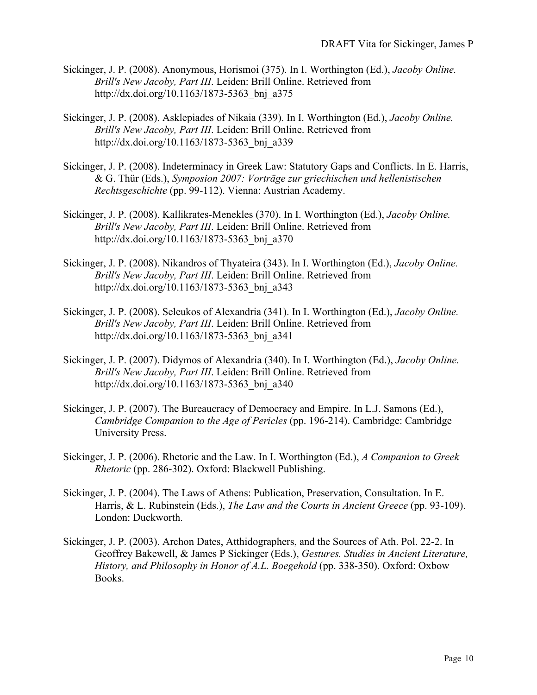- Sickinger, J. P. (2008). Anonymous, Horismoi (375). In I. Worthington (Ed.), *Jacoby Online. Brill's New Jacoby, Part III*. Leiden: Brill Online. Retrieved from http://dx.doi.org/10.1163/1873-5363\_bnj\_a375
- Sickinger, J. P. (2008). Asklepiades of Nikaia (339). In I. Worthington (Ed.), *Jacoby Online. Brill's New Jacoby, Part III*. Leiden: Brill Online. Retrieved from http://dx.doi.org/10.1163/1873-5363\_bnj\_a339
- Sickinger, J. P. (2008). Indeterminacy in Greek Law: Statutory Gaps and Conflicts. In E. Harris, & G. Thür (Eds.), *Symposion 2007: Vorträge zur griechischen und hellenistischen Rechtsgeschichte* (pp. 99-112). Vienna: Austrian Academy.
- Sickinger, J. P. (2008). Kallikrates-Menekles (370). In I. Worthington (Ed.), *Jacoby Online. Brill's New Jacoby, Part III*. Leiden: Brill Online. Retrieved from http://dx.doi.org/10.1163/1873-5363\_bnj\_a370
- Sickinger, J. P. (2008). Nikandros of Thyateira (343). In I. Worthington (Ed.), *Jacoby Online. Brill's New Jacoby, Part III*. Leiden: Brill Online. Retrieved from http://dx.doi.org/10.1163/1873-5363\_bnj\_a343
- Sickinger, J. P. (2008). Seleukos of Alexandria (341). In I. Worthington (Ed.), *Jacoby Online. Brill's New Jacoby, Part III*. Leiden: Brill Online. Retrieved from http://dx.doi.org/10.1163/1873-5363\_bnj\_a341
- Sickinger, J. P. (2007). Didymos of Alexandria (340). In I. Worthington (Ed.), *Jacoby Online. Brill's New Jacoby, Part III*. Leiden: Brill Online. Retrieved from http://dx.doi.org/10.1163/1873-5363\_bnj\_a340
- Sickinger, J. P. (2007). The Bureaucracy of Democracy and Empire. In L.J. Samons (Ed.), *Cambridge Companion to the Age of Pericles* (pp. 196-214). Cambridge: Cambridge University Press.
- Sickinger, J. P. (2006). Rhetoric and the Law. In I. Worthington (Ed.), *A Companion to Greek Rhetoric* (pp. 286-302). Oxford: Blackwell Publishing.
- Sickinger, J. P. (2004). The Laws of Athens: Publication, Preservation, Consultation. In E. Harris, & L. Rubinstein (Eds.), *The Law and the Courts in Ancient Greece* (pp. 93-109). London: Duckworth.
- Sickinger, J. P. (2003). Archon Dates, Atthidographers, and the Sources of Ath. Pol. 22-2. In Geoffrey Bakewell, & James P Sickinger (Eds.), *Gestures. Studies in Ancient Literature, History, and Philosophy in Honor of A.L. Boegehold* (pp. 338-350). Oxford: Oxbow Books.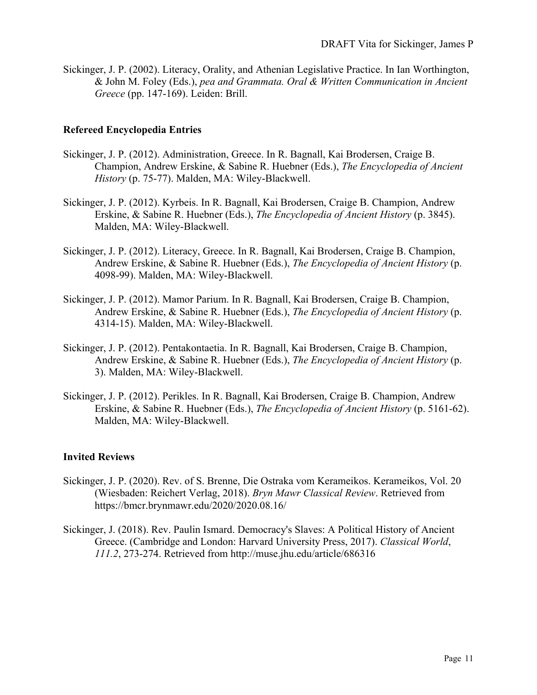Sickinger, J. P. (2002). Literacy, Orality, and Athenian Legislative Practice. In Ian Worthington, & John M. Foley (Eds.), *pea and Grammata. Oral & Written Communication in Ancient Greece* (pp. 147-169). Leiden: Brill.

#### **Refereed Encyclopedia Entries**

- Sickinger, J. P. (2012). Administration, Greece. In R. Bagnall, Kai Brodersen, Craige B. Champion, Andrew Erskine, & Sabine R. Huebner (Eds.), *The Encyclopedia of Ancient History* (p. 75-77). Malden, MA: Wiley-Blackwell.
- Sickinger, J. P. (2012). Kyrbeis. In R. Bagnall, Kai Brodersen, Craige B. Champion, Andrew Erskine, & Sabine R. Huebner (Eds.), *The Encyclopedia of Ancient History* (p. 3845). Malden, MA: Wiley-Blackwell.
- Sickinger, J. P. (2012). Literacy, Greece. In R. Bagnall, Kai Brodersen, Craige B. Champion, Andrew Erskine, & Sabine R. Huebner (Eds.), *The Encyclopedia of Ancient History* (p. 4098-99). Malden, MA: Wiley-Blackwell.
- Sickinger, J. P. (2012). Mamor Parium. In R. Bagnall, Kai Brodersen, Craige B. Champion, Andrew Erskine, & Sabine R. Huebner (Eds.), *The Encyclopedia of Ancient History* (p. 4314-15). Malden, MA: Wiley-Blackwell.
- Sickinger, J. P. (2012). Pentakontaetia. In R. Bagnall, Kai Brodersen, Craige B. Champion, Andrew Erskine, & Sabine R. Huebner (Eds.), *The Encyclopedia of Ancient History* (p. 3). Malden, MA: Wiley-Blackwell.
- Sickinger, J. P. (2012). Perikles. In R. Bagnall, Kai Brodersen, Craige B. Champion, Andrew Erskine, & Sabine R. Huebner (Eds.), *The Encyclopedia of Ancient History* (p. 5161-62). Malden, MA: Wiley-Blackwell.

#### **Invited Reviews**

- Sickinger, J. P. (2020). Rev. of S. Brenne, Die Ostraka vom Kerameikos. Kerameikos, Vol. 20 (Wiesbaden: Reichert Verlag, 2018). *Bryn Mawr Classical Review*. Retrieved from https://bmcr.brynmawr.edu/2020/2020.08.16/
- Sickinger, J. (2018). Rev. Paulin Ismard. Democracy's Slaves: A Political History of Ancient Greece. (Cambridge and London: Harvard University Press, 2017). *Classical World*, *111.2*, 273-274. Retrieved from http://muse.jhu.edu/article/686316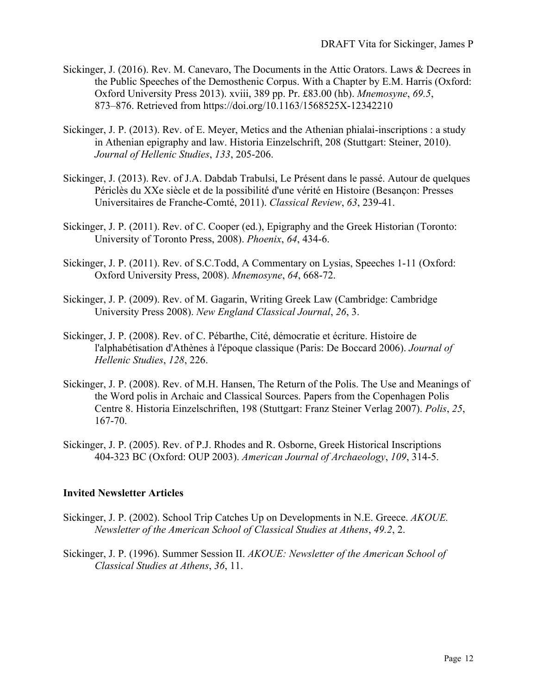- Sickinger, J. (2016). Rev. M. Canevaro, The Documents in the Attic Orators. Laws & Decrees in the Public Speeches of the Demosthenic Corpus. With a Chapter by E.M. Harris (Oxford: Oxford University Press 2013). xviii, 389 pp. Pr. £83.00 (hb). *Mnemosyne*, *69.5*, 873–876. Retrieved from https://doi.org/10.1163/1568525X-12342210
- Sickinger, J. P. (2013). Rev. of E. Meyer, Metics and the Athenian phialai-inscriptions : a study in Athenian epigraphy and law. Historia Einzelschrift, 208 (Stuttgart: Steiner, 2010). *Journal of Hellenic Studies*, *133*, 205-206.
- Sickinger, J. (2013). Rev. of J.A. Dabdab Trabulsi, Le Présent dans le passé. Autour de quelques Périclès du XXe siècle et de la possibilité d'une vérité en Histoire (Besançon: Presses Universitaires de Franche-Comté, 2011). *Classical Review*, *63*, 239-41.
- Sickinger, J. P. (2011). Rev. of C. Cooper (ed.), Epigraphy and the Greek Historian (Toronto: University of Toronto Press, 2008). *Phoenix*, *64*, 434-6.
- Sickinger, J. P. (2011). Rev. of S.C.Todd, A Commentary on Lysias, Speeches 1-11 (Oxford: Oxford University Press, 2008). *Mnemosyne*, *64*, 668-72.
- Sickinger, J. P. (2009). Rev. of M. Gagarin, Writing Greek Law (Cambridge: Cambridge University Press 2008). *New England Classical Journal*, *26*, 3.
- Sickinger, J. P. (2008). Rev. of C. Pébarthe, Cité, démocratie et écriture. Histoire de l'alphabétisation d'Athènes à l'époque classique (Paris: De Boccard 2006). *Journal of Hellenic Studies*, *128*, 226.
- Sickinger, J. P. (2008). Rev. of M.H. Hansen, The Return of the Polis. The Use and Meanings of the Word polis in Archaic and Classical Sources. Papers from the Copenhagen Polis Centre 8. Historia Einzelschriften, 198 (Stuttgart: Franz Steiner Verlag 2007). *Polis*, *25*, 167-70.
- Sickinger, J. P. (2005). Rev. of P.J. Rhodes and R. Osborne, Greek Historical Inscriptions 404-323 BC (Oxford: OUP 2003). *American Journal of Archaeology*, *109*, 314-5.

#### **Invited Newsletter Articles**

- Sickinger, J. P. (2002). School Trip Catches Up on Developments in N.E. Greece. *AKOUE. Newsletter of the American School of Classical Studies at Athens*, *49.2*, 2.
- Sickinger, J. P. (1996). Summer Session II. *AKOUE: Newsletter of the American School of Classical Studies at Athens*, *36*, 11.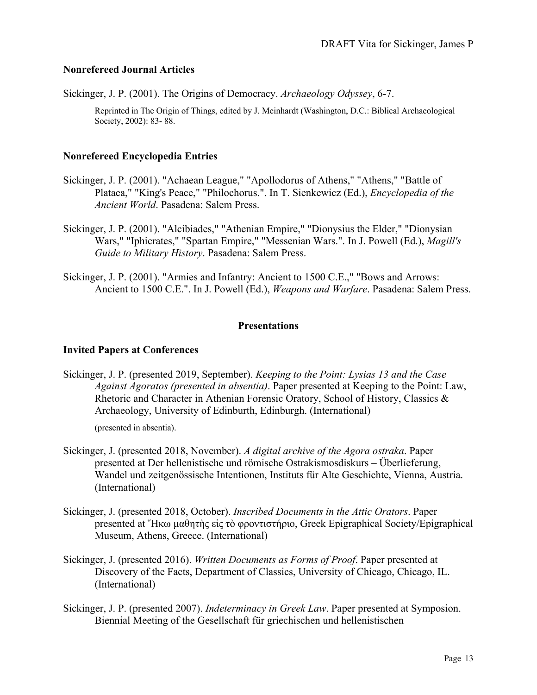## **Nonrefereed Journal Articles**

Sickinger, J. P. (2001). The Origins of Democracy. *Archaeology Odyssey*, 6-7.

Reprinted in The Origin of Things, edited by J. Meinhardt (Washington, D.C.: Biblical Archaeological Society, 2002): 83- 88.

## **Nonrefereed Encyclopedia Entries**

- Sickinger, J. P. (2001). "Achaean League," "Apollodorus of Athens," "Athens," "Battle of Plataea," "King's Peace," "Philochorus.". In T. Sienkewicz (Ed.), *Encyclopedia of the Ancient World*. Pasadena: Salem Press.
- Sickinger, J. P. (2001). "Alcibiades," "Athenian Empire," "Dionysius the Elder," "Dionysian Wars," "Iphicrates," "Spartan Empire," "Messenian Wars.". In J. Powell (Ed.), *Magill's Guide to Military History*. Pasadena: Salem Press.
- Sickinger, J. P. (2001). "Armies and Infantry: Ancient to 1500 C.E.," "Bows and Arrows: Ancient to 1500 C.E.". In J. Powell (Ed.), *Weapons and Warfare*. Pasadena: Salem Press.

#### **Presentations**

#### **Invited Papers at Conferences**

Sickinger, J. P. (presented 2019, September). *Keeping to the Point: Lysias 13 and the Case Against Agoratos (presented in absentia)*. Paper presented at Keeping to the Point: Law, Rhetoric and Character in Athenian Forensic Oratory, School of History, Classics & Archaeology, University of Edinburth, Edinburgh. (International)

(presented in absentia).

- Sickinger, J. (presented 2018, November). *A digital archive of the Agora ostraka*. Paper presented at Der hellenistische und römische Ostrakismosdiskurs – Überlieferung, Wandel und zeitgenössische Intentionen, Instituts für Alte Geschichte, Vienna, Austria. (International)
- Sickinger, J. (presented 2018, October). *Inscribed Documents in the Attic Orators*. Paper presented at Ἥκω μαθητὴς εἰς τὸ φροντιστήριο, Greek Epigraphical Society/Epigraphical Museum, Athens, Greece. (International)
- Sickinger, J. (presented 2016). *Written Documents as Forms of Proof*. Paper presented at Discovery of the Facts, Department of Classics, University of Chicago, Chicago, IL. (International)
- Sickinger, J. P. (presented 2007). *Indeterminacy in Greek Law*. Paper presented at Symposion. Biennial Meeting of the Gesellschaft für griechischen und hellenistischen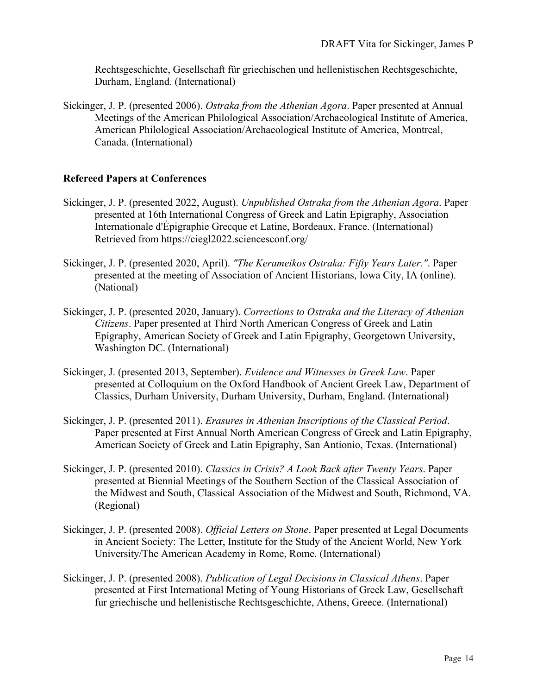Rechtsgeschichte, Gesellschaft für griechischen und hellenistischen Rechtsgeschichte, Durham, England. (International)

Sickinger, J. P. (presented 2006). *Ostraka from the Athenian Agora*. Paper presented at Annual Meetings of the American Philological Association/Archaeological Institute of America, American Philological Association/Archaeological Institute of America, Montreal, Canada. (International)

## **Refereed Papers at Conferences**

- Sickinger, J. P. (presented 2022, August). *Unpublished Ostraka from the Athenian Agora*. Paper presented at 16th International Congress of Greek and Latin Epigraphy, Association Internationale d'Épigraphie Grecque et Latine, Bordeaux, France. (International) Retrieved from https://ciegl2022.sciencesconf.org/
- Sickinger, J. P. (presented 2020, April). *"The Kerameikos Ostraka: Fifty Years Later."*. Paper presented at the meeting of Association of Ancient Historians, Iowa City, IA (online). (National)
- Sickinger, J. P. (presented 2020, January). *Corrections to Ostraka and the Literacy of Athenian Citizens*. Paper presented at Third North American Congress of Greek and Latin Epigraphy, American Society of Greek and Latin Epigraphy, Georgetown University, Washington DC. (International)
- Sickinger, J. (presented 2013, September). *Evidence and Witnesses in Greek Law*. Paper presented at Colloquium on the Oxford Handbook of Ancient Greek Law, Department of Classics, Durham University, Durham University, Durham, England. (International)
- Sickinger, J. P. (presented 2011). *Erasures in Athenian Inscriptions of the Classical Period*. Paper presented at First Annual North American Congress of Greek and Latin Epigraphy, American Society of Greek and Latin Epigraphy, San Antionio, Texas. (International)
- Sickinger, J. P. (presented 2010). *Classics in Crisis? A Look Back after Twenty Years*. Paper presented at Biennial Meetings of the Southern Section of the Classical Association of the Midwest and South, Classical Association of the Midwest and South, Richmond, VA. (Regional)
- Sickinger, J. P. (presented 2008). *Official Letters on Stone*. Paper presented at Legal Documents in Ancient Society: The Letter, Institute for the Study of the Ancient World, New York University/The American Academy in Rome, Rome. (International)
- Sickinger, J. P. (presented 2008). *Publication of Legal Decisions in Classical Athens*. Paper presented at First International Meting of Young Historians of Greek Law, Gesellschaft fur griechische und hellenistische Rechtsgeschichte, Athens, Greece. (International)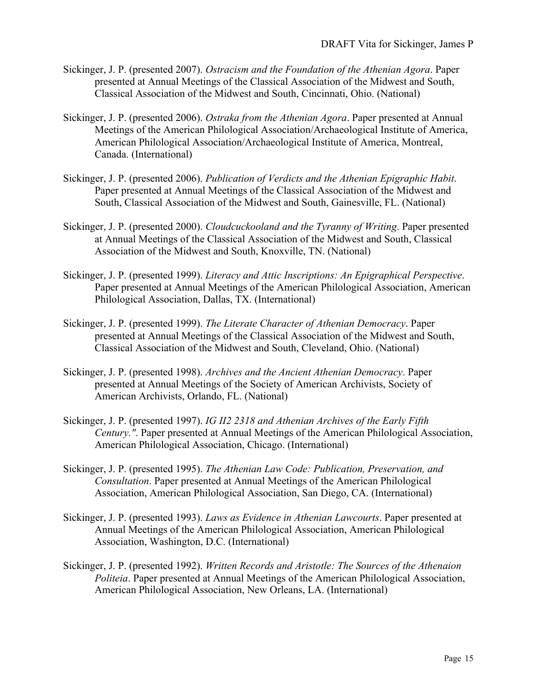- Sickinger, J. P. (presented 2007). *Ostracism and the Foundation of the Athenian Agora*. Paper presented at Annual Meetings of the Classical Association of the Midwest and South, Classical Association of the Midwest and South, Cincinnati, Ohio. (National)
- Sickinger, J. P. (presented 2006). *Ostraka from the Athenian Agora*. Paper presented at Annual Meetings of the American Philological Association/Archaeological Institute of America, American Philological Association/Archaeological Institute of America, Montreal, Canada. (International)
- Sickinger, J. P. (presented 2006). *Publication of Verdicts and the Athenian Epigraphic Habit*. Paper presented at Annual Meetings of the Classical Association of the Midwest and South, Classical Association of the Midwest and South, Gainesville, FL. (National)
- Sickinger, J. P. (presented 2000). *Cloudcuckooland and the Tyranny of Writing*. Paper presented at Annual Meetings of the Classical Association of the Midwest and South, Classical Association of the Midwest and South, Knoxville, TN. (National)
- Sickinger, J. P. (presented 1999). *Literacy and Attic Inscriptions: An Epigraphical Perspective*. Paper presented at Annual Meetings of the American Philological Association, American Philological Association, Dallas, TX. (International)
- Sickinger, J. P. (presented 1999). *The Literate Character of Athenian Democracy*. Paper presented at Annual Meetings of the Classical Association of the Midwest and South, Classical Association of the Midwest and South, Cleveland, Ohio. (National)
- Sickinger, J. P. (presented 1998). *Archives and the Ancient Athenian Democracy*. Paper presented at Annual Meetings of the Society of American Archivists, Society of American Archivists, Orlando, FL. (National)
- Sickinger, J. P. (presented 1997). *IG II2 2318 and Athenian Archives of the Early Fifth Century."*. Paper presented at Annual Meetings of the American Philological Association, American Philological Association, Chicago. (International)
- Sickinger, J. P. (presented 1995). *The Athenian Law Code: Publication, Preservation, and Consultation*. Paper presented at Annual Meetings of the American Philological Association, American Philological Association, San Diego, CA. (International)
- Sickinger, J. P. (presented 1993). *Laws as Evidence in Athenian Lawcourts*. Paper presented at Annual Meetings of the American Philological Association, American Philological Association, Washington, D.C. (International)
- Sickinger, J. P. (presented 1992). *Written Records and Aristotle: The Sources of the Athenaion Politeia*. Paper presented at Annual Meetings of the American Philological Association, American Philological Association, New Orleans, LA. (International)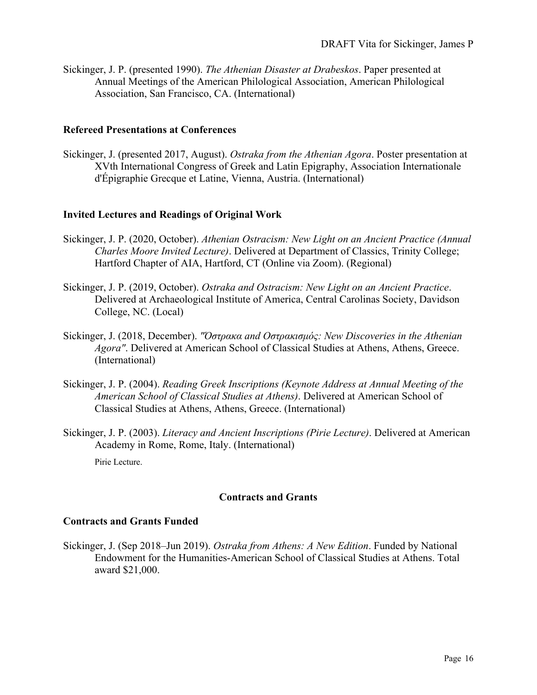Sickinger, J. P. (presented 1990). *The Athenian Disaster at Drabeskos*. Paper presented at Annual Meetings of the American Philological Association, American Philological Association, San Francisco, CA. (International)

## **Refereed Presentations at Conferences**

Sickinger, J. (presented 2017, August). *Ostraka from the Athenian Agora*. Poster presentation at XVth International Congress of Greek and Latin Epigraphy, Association Internationale d'Épigraphie Grecque et Latine, Vienna, Austria. (International)

## **Invited Lectures and Readings of Original Work**

- Sickinger, J. P. (2020, October). *Athenian Ostracism: New Light on an Ancient Practice (Annual Charles Moore Invited Lecture)*. Delivered at Department of Classics, Trinity College; Hartford Chapter of AIA, Hartford, CT (Online via Zoom). (Regional)
- Sickinger, J. P. (2019, October). *Ostraka and Ostracism: New Light on an Ancient Practice*. Delivered at Archaeological Institute of America, Central Carolinas Society, Davidson College, NC. (Local)
- Sickinger, J. (2018, December). *"Όστρακα and Οστρακισμός: New Discoveries in the Athenian Agora"*. Delivered at American School of Classical Studies at Athens, Athens, Greece. (International)
- Sickinger, J. P. (2004). *Reading Greek Inscriptions (Keynote Address at Annual Meeting of the American School of Classical Studies at Athens)*. Delivered at American School of Classical Studies at Athens, Athens, Greece. (International)
- Sickinger, J. P. (2003). *Literacy and Ancient Inscriptions (Pirie Lecture)*. Delivered at American Academy in Rome, Rome, Italy. (International)

Pirie Lecture.

## **Contracts and Grants**

## **Contracts and Grants Funded**

Sickinger, J. (Sep 2018–Jun 2019). *Ostraka from Athens: A New Edition*. Funded by National Endowment for the Humanities-American School of Classical Studies at Athens. Total award \$21,000.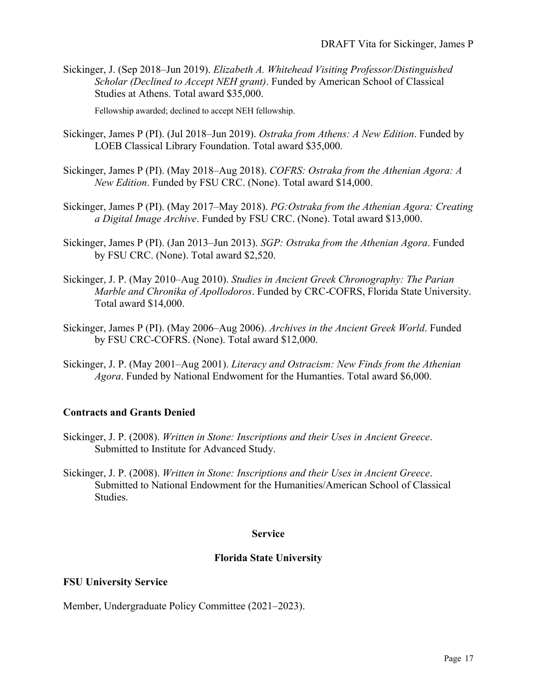Sickinger, J. (Sep 2018–Jun 2019). *Elizabeth A. Whitehead Visiting Professor/Distinguished Scholar (Declined to Accept NEH grant)*. Funded by American School of Classical Studies at Athens. Total award \$35,000.

Fellowship awarded; declined to accept NEH fellowship.

- Sickinger, James P (PI). (Jul 2018–Jun 2019). *Ostraka from Athens: A New Edition*. Funded by LOEB Classical Library Foundation. Total award \$35,000.
- Sickinger, James P (PI). (May 2018–Aug 2018). *COFRS: Ostraka from the Athenian Agora: A New Edition*. Funded by FSU CRC. (None). Total award \$14,000.
- Sickinger, James P (PI). (May 2017–May 2018). *PG:Ostraka from the Athenian Agora: Creating a Digital Image Archive*. Funded by FSU CRC. (None). Total award \$13,000.
- Sickinger, James P (PI). (Jan 2013–Jun 2013). *SGP: Ostraka from the Athenian Agora*. Funded by FSU CRC. (None). Total award \$2,520.
- Sickinger, J. P. (May 2010–Aug 2010). *Studies in Ancient Greek Chronography: The Parian Marble and Chronika of Apollodoros*. Funded by CRC-COFRS, Florida State University. Total award \$14,000.
- Sickinger, James P (PI). (May 2006–Aug 2006). *Archives in the Ancient Greek World*. Funded by FSU CRC-COFRS. (None). Total award \$12,000.
- Sickinger, J. P. (May 2001–Aug 2001). *Literacy and Ostracism: New Finds from the Athenian Agora*. Funded by National Endwoment for the Humanties. Total award \$6,000.

## **Contracts and Grants Denied**

- Sickinger, J. P. (2008). *Written in Stone: Inscriptions and their Uses in Ancient Greece*. Submitted to Institute for Advanced Study.
- Sickinger, J. P. (2008). *Written in Stone: Inscriptions and their Uses in Ancient Greece*. Submitted to National Endowment for the Humanities/American School of Classical Studies.

#### **Service**

## **Florida State University**

#### **FSU University Service**

Member, Undergraduate Policy Committee (2021–2023).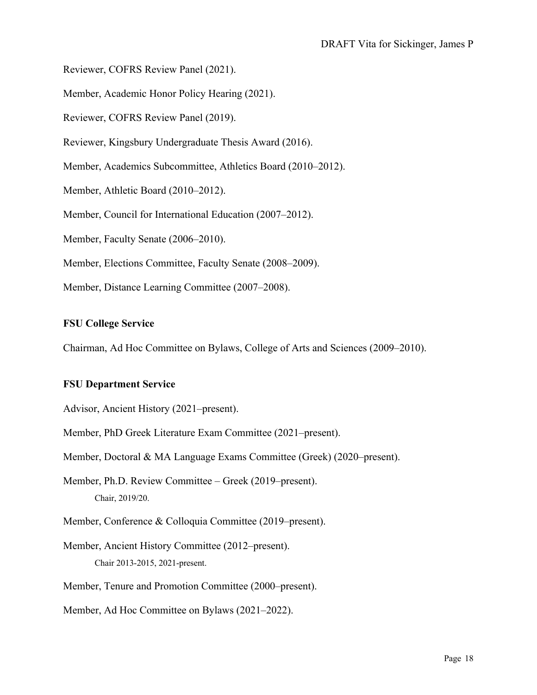Reviewer, COFRS Review Panel (2021).

Member, Academic Honor Policy Hearing (2021).

Reviewer, COFRS Review Panel (2019).

Reviewer, Kingsbury Undergraduate Thesis Award (2016).

Member, Academics Subcommittee, Athletics Board (2010–2012).

Member, Athletic Board (2010–2012).

Member, Council for International Education (2007–2012).

Member, Faculty Senate (2006–2010).

Member, Elections Committee, Faculty Senate (2008–2009).

Member, Distance Learning Committee (2007–2008).

## **FSU College Service**

Chairman, Ad Hoc Committee on Bylaws, College of Arts and Sciences (2009–2010).

#### **FSU Department Service**

Advisor, Ancient History (2021–present).

Member, PhD Greek Literature Exam Committee (2021–present).

Member, Doctoral & MA Language Exams Committee (Greek) (2020–present).

Member, Ph.D. Review Committee – Greek (2019–present). Chair, 2019/20.

Member, Conference & Colloquia Committee (2019–present).

Member, Ancient History Committee (2012–present). Chair 2013-2015, 2021-present.

Member, Tenure and Promotion Committee (2000–present).

Member, Ad Hoc Committee on Bylaws (2021–2022).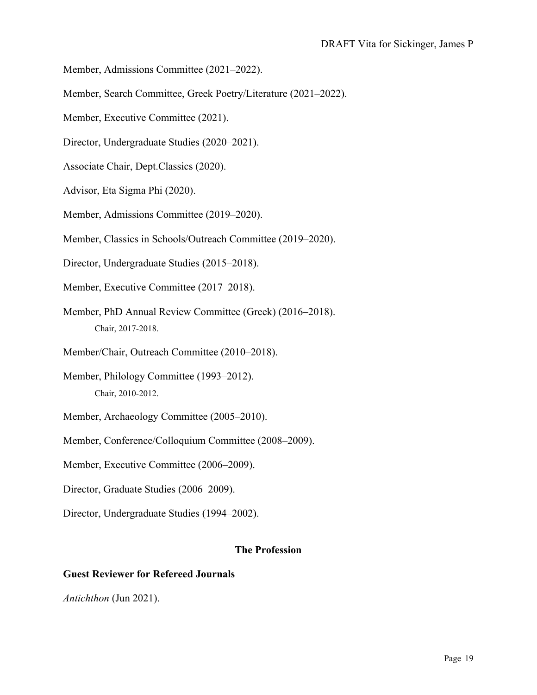- Member, Admissions Committee (2021–2022).
- Member, Search Committee, Greek Poetry/Literature (2021–2022).
- Member, Executive Committee (2021).
- Director, Undergraduate Studies (2020–2021).
- Associate Chair, Dept.Classics (2020).
- Advisor, Eta Sigma Phi (2020).
- Member, Admissions Committee (2019–2020).
- Member, Classics in Schools/Outreach Committee (2019–2020).
- Director, Undergraduate Studies (2015–2018).
- Member, Executive Committee (2017–2018).
- Member, PhD Annual Review Committee (Greek) (2016–2018). Chair, 2017-2018.
- Member/Chair, Outreach Committee (2010–2018).
- Member, Philology Committee (1993–2012). Chair, 2010-2012.
- Member, Archaeology Committee (2005–2010).
- Member, Conference/Colloquium Committee (2008–2009).
- Member, Executive Committee (2006–2009).
- Director, Graduate Studies (2006–2009).
- Director, Undergraduate Studies (1994–2002).

## **The Profession**

## **Guest Reviewer for Refereed Journals**

*Antichthon* (Jun 2021).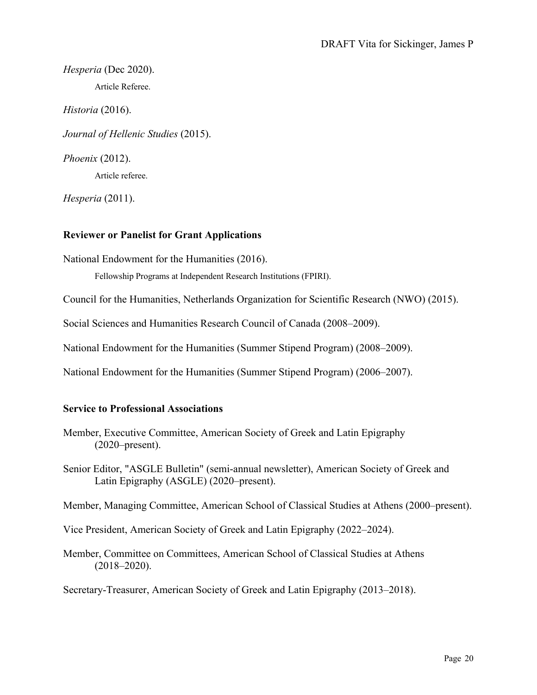*Hesperia* (Dec 2020). Article Referee.

*Historia* (2016).

*Journal of Hellenic Studies* (2015).

*Phoenix* (2012).

Article referee.

*Hesperia* (2011).

# **Reviewer or Panelist for Grant Applications**

National Endowment for the Humanities (2016).

Fellowship Programs at Independent Research Institutions (FPIRI).

Council for the Humanities, Netherlands Organization for Scientific Research (NWO) (2015).

Social Sciences and Humanities Research Council of Canada (2008–2009).

National Endowment for the Humanities (Summer Stipend Program) (2008–2009).

National Endowment for the Humanities (Summer Stipend Program) (2006–2007).

## **Service to Professional Associations**

- Member, Executive Committee, American Society of Greek and Latin Epigraphy (2020–present).
- Senior Editor, "ASGLE Bulletin" (semi-annual newsletter), American Society of Greek and Latin Epigraphy (ASGLE) (2020–present).

Member, Managing Committee, American School of Classical Studies at Athens (2000–present).

Vice President, American Society of Greek and Latin Epigraphy (2022–2024).

Member, Committee on Committees, American School of Classical Studies at Athens (2018–2020).

Secretary-Treasurer, American Society of Greek and Latin Epigraphy (2013–2018).